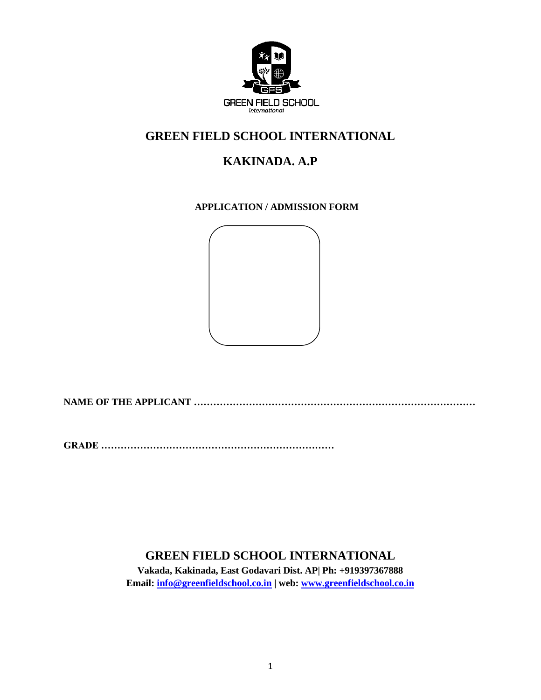

## **GREEN FIELD SCHOOL INTERNATIONAL**

# **KAKINADA. A.P**

### **APPLICATION / ADMISSION FORM**



**NAME OF THE APPLICANT ……………………………………………………………………………**

**GRADE ………………………………………………………………**

## **GREEN FIELD SCHOOL INTERNATIONAL**

**Vakada, Kakinada, East Godavari Dist. AP| Ph: +919397367888 Email: [info@greenfieldschool.co.in](mailto:info@greenfieldschool.co.in) | web: [www.greenfieldschool.co.in](http://www.greenfieldschool.co.in/)**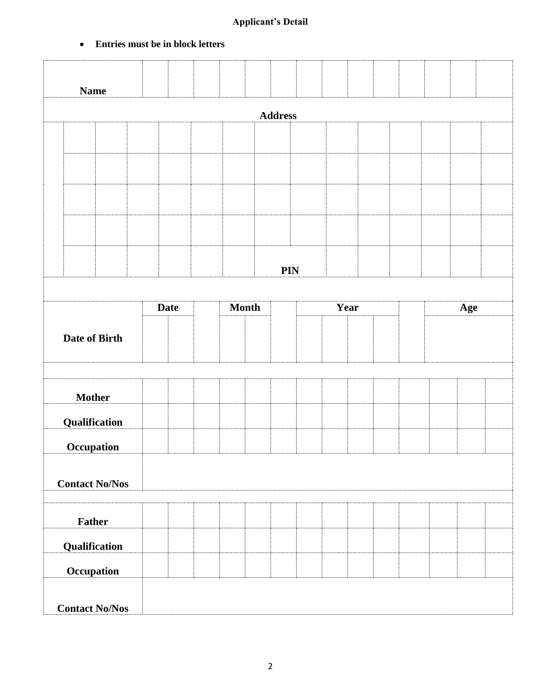### **Applicant's Detail**

### **Entries must be in block letters**

|                       | <b>Name</b>          |                       |  |             |  |  |              |     |      |  |  |     |  |
|-----------------------|----------------------|-----------------------|--|-------------|--|--|--------------|-----|------|--|--|-----|--|
|                       | <b>Address</b>       |                       |  |             |  |  |              |     |      |  |  |     |  |
|                       |                      |                       |  |             |  |  |              |     |      |  |  |     |  |
|                       |                      |                       |  |             |  |  |              |     |      |  |  |     |  |
|                       |                      |                       |  |             |  |  |              |     |      |  |  |     |  |
|                       |                      |                       |  |             |  |  |              |     |      |  |  |     |  |
|                       |                      |                       |  |             |  |  |              |     |      |  |  |     |  |
|                       |                      |                       |  |             |  |  |              |     |      |  |  |     |  |
|                       |                      |                       |  |             |  |  |              | PIN |      |  |  |     |  |
|                       |                      |                       |  | <b>Date</b> |  |  | <b>Month</b> |     | Year |  |  | Age |  |
|                       | <b>Date of Birth</b> |                       |  |             |  |  |              |     |      |  |  |     |  |
|                       | <b>Mother</b>        |                       |  |             |  |  |              |     |      |  |  |     |  |
|                       | <b>Qualification</b> |                       |  |             |  |  |              |     |      |  |  |     |  |
|                       | Occupation           |                       |  |             |  |  |              |     |      |  |  |     |  |
| <b>Contact No/Nos</b> |                      |                       |  |             |  |  |              |     |      |  |  |     |  |
|                       | Father               |                       |  |             |  |  |              |     |      |  |  |     |  |
|                       | Qualification        |                       |  |             |  |  |              |     |      |  |  |     |  |
|                       | <b>Occupation</b>    |                       |  |             |  |  |              |     |      |  |  |     |  |
|                       |                      | <b>Contact No/Nos</b> |  |             |  |  |              |     |      |  |  |     |  |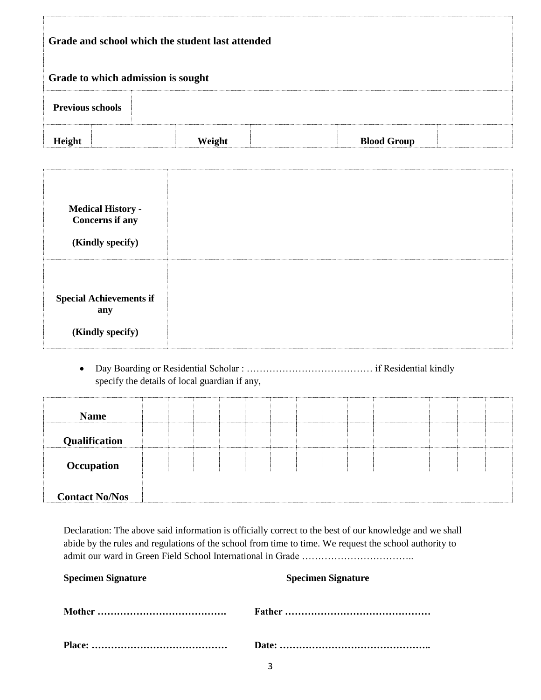|                         |                                       | Grade and school which the student last attended |  |  |                    |  |  |
|-------------------------|---------------------------------------|--------------------------------------------------|--|--|--------------------|--|--|
|                         | Grade to which admission is sought    |                                                  |  |  |                    |  |  |
| <b>Previous schools</b> |                                       |                                                  |  |  |                    |  |  |
| Height                  |                                       | Weight                                           |  |  | <b>Blood Group</b> |  |  |
|                         |                                       |                                                  |  |  |                    |  |  |
|                         | <b>Medical History -</b>              |                                                  |  |  |                    |  |  |
|                         | <b>Concerns if any</b>                |                                                  |  |  |                    |  |  |
|                         | (Kindly specify)                      |                                                  |  |  |                    |  |  |
|                         |                                       |                                                  |  |  |                    |  |  |
|                         | <b>Special Achievements if</b><br>any |                                                  |  |  |                    |  |  |
|                         | (Kindly specify)                      |                                                  |  |  |                    |  |  |
| $\bullet$               |                                       |                                                  |  |  |                    |  |  |
|                         |                                       | specify the details of local guardian if any,    |  |  |                    |  |  |
|                         | <b>Name</b>                           |                                                  |  |  |                    |  |  |
|                         | Qualification                         |                                                  |  |  |                    |  |  |
|                         | Occupation                            |                                                  |  |  |                    |  |  |
|                         | <b>Contact No/Nos</b>                 |                                                  |  |  |                    |  |  |

abide by the rules and regulations of the school from time to time. We request the school authority to admit our ward in Green Field School International in Grade ……………………………..

| <b>Specimen Signature</b> | <b>Specimen Signature</b> |
|---------------------------|---------------------------|
|                           |                           |
|                           |                           |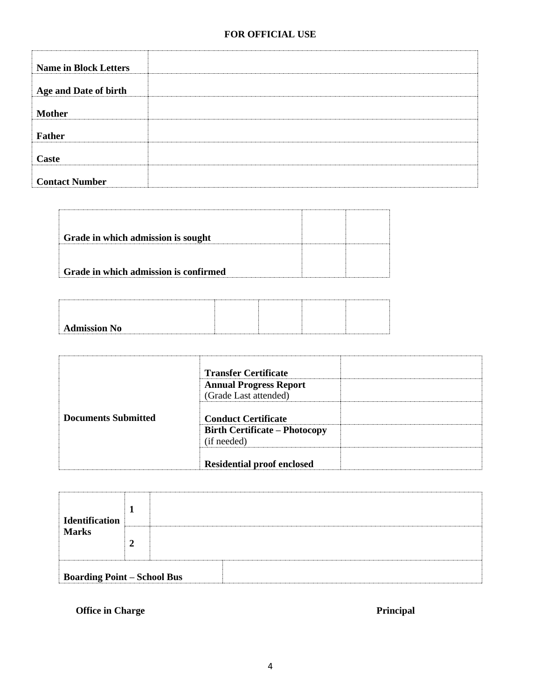| <b>Name in Block Letters</b> |  |
|------------------------------|--|
|                              |  |
| Age and Date of birth        |  |
|                              |  |
| <b>Mother</b>                |  |
|                              |  |
| Father                       |  |
|                              |  |
| <b>Caste</b>                 |  |
|                              |  |
| <b>Contact Number</b>        |  |

| Grade in which admission is sought    |  |
|---------------------------------------|--|
|                                       |  |
| Grade in which admission is confirmed |  |
|                                       |  |

| <b>Admission No</b> |  |
|---------------------|--|
|                     |  |

|                            | <b>Transfer Certificate</b><br><b>Annual Progress Report</b><br>(Grade Last attended) |  |
|----------------------------|---------------------------------------------------------------------------------------|--|
| <b>Documents Submitted</b> | <b>Conduct Certificate</b>                                                            |  |
|                            | <b>Birth Certificate – Photocopy</b><br>(if needed)                                   |  |
|                            | <b>Residential proof enclosed</b>                                                     |  |

| <b>Identification</b>              |  |  |
|------------------------------------|--|--|
| <b>Marks</b>                       |  |  |
| <b>Boarding Point - School Bus</b> |  |  |

**Office in Charge Principal 2008** Principal **Principal**